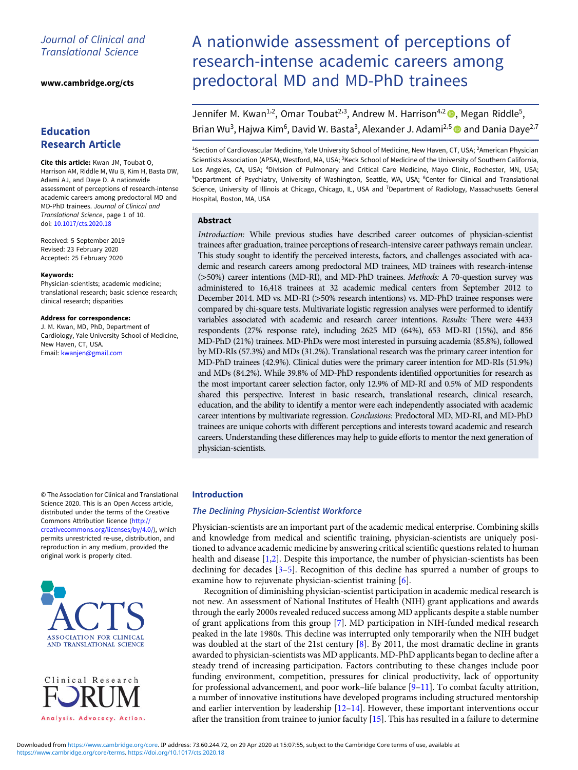## Journal of Clinical and Translational Science

[www.cambridge.org/cts](https://www.cambridge.org/cts)

# Education Research Article

Cite this article: Kwan JM, Toubat O, Harrison AM, Riddle M, Wu B, Kim H, Basta DW, Adami AJ, and Daye D. A nationwide assessment of perceptions of research-intense academic careers among predoctoral MD and MD-PhD trainees. Journal of Clinical and Translational Science, page 1 of 10. doi: [10.1017/cts.2020.18](https://doi.org/10.1017/cts.2020.18)

Received: 5 September 2019 Revised: 23 February 2020 Accepted: 25 February 2020

#### Keywords:

Physician-scientists; academic medicine; translational research; basic science research; clinical research; disparities

#### Address for correspondence:

J. M. Kwan, MD, PhD, Department of Cardiology, Yale University School of Medicine, New Haven, CT, USA. Email: [kwanjen@gmail.com](mailto:kwanjen@gmail.com)

© The Association for Clinical and Translational Science 2020. This is an Open Access article, distributed under the terms of the Creative Commons Attribution licence ([http://](http://creativecommons.org/licenses/by/4.0/) [creativecommons.org/licenses/by/4.0/\)](http://creativecommons.org/licenses/by/4.0/), which permits unrestricted re-use, distribution, and reproduction in any medium, provided the original work is properly cited.



Clinical Research Analysis. Advocacy. Action.

# A nationwide assessment of perceptions of research-intense academic careers among predoctoral MD and MD-PhD trainees

Jennifer M. Kwan<sup>1,2</sup>, Omar Toubat<sup>2,3</sup>, Andrew M. Harrison<sup>4,2</sup> <sup>®</sup>, Megan Riddle<sup>5</sup>, Brian Wu<sup>3</sup>, Hajwa Kim<sup>6</sup>, David W. Basta<sup>3</sup>, Alexander J. Adami<sup>2,5</sup> @ and Dania Daye<sup>2,7</sup>

<sup>1</sup>Section of Cardiovascular Medicine, Yale University School of Medicine, New Haven, CT, USA; <sup>2</sup>American Physician Scientists Association (APSA), Westford, MA, USA; <sup>3</sup>Keck School of Medicine of the University of Southern California, Los Angeles, CA, USA; <sup>4</sup>Division of Pulmonary and Critical Care Medicine, Mayo Clinic, Rochester, MN, USA; 5 Department of Psychiatry, University of Washington, Seattle, WA, USA; <sup>6</sup> Center for Clinical and Translational Science, University of Illinois at Chicago, Chicago, IL, USA and <sup>7</sup>Department of Radiology, Massachusetts General Hospital, Boston, MA, USA

## Abstract

Introduction: While previous studies have described career outcomes of physician-scientist trainees after graduation, trainee perceptions of research-intensive career pathways remain unclear. This study sought to identify the perceived interests, factors, and challenges associated with academic and research careers among predoctoral MD trainees, MD trainees with research-intense (>50%) career intentions (MD-RI), and MD-PhD trainees. Methods: A 70-question survey was administered to 16,418 trainees at 32 academic medical centers from September 2012 to December 2014. MD vs. MD-RI (>50% research intentions) vs. MD-PhD trainee responses were compared by chi-square tests. Multivariate logistic regression analyses were performed to identify variables associated with academic and research career intentions. Results: There were 4433 respondents (27% response rate), including 2625 MD (64%), 653 MD-RI (15%), and 856 MD-PhD (21%) trainees. MD-PhDs were most interested in pursuing academia (85.8%), followed by MD-RIs (57.3%) and MDs (31.2%). Translational research was the primary career intention for MD-PhD trainees (42.9%). Clinical duties were the primary career intention for MD-RIs (51.9%) and MDs (84.2%). While 39.8% of MD-PhD respondents identified opportunities for research as the most important career selection factor, only 12.9% of MD-RI and 0.5% of MD respondents shared this perspective. Interest in basic research, translational research, clinical research, education, and the ability to identify a mentor were each independently associated with academic career intentions by multivariate regression. Conclusions: Predoctoral MD, MD-RI, and MD-PhD trainees are unique cohorts with different perceptions and interests toward academic and research careers. Understanding these differences may help to guide efforts to mentor the next generation of physician-scientists.

## Introduction

## The Declining Physician-Scientist Workforce

Physician-scientists are an important part of the academic medical enterprise. Combining skills and knowledge from medical and scientific training, physician-scientists are uniquely positioned to advance academic medicine by answering critical scientific questions related to human health and disease [\[1,2](#page-8-0)]. Despite this importance, the number of physician-scientists has been declining for decades [[3](#page-8-0)–[5\]](#page-8-0). Recognition of this decline has spurred a number of groups to examine how to rejuvenate physician-scientist training [[6](#page-8-0)].

Recognition of diminishing physician-scientist participation in academic medical research is not new. An assessment of National Institutes of Health (NIH) grant applications and awards through the early 2000s revealed reduced success among MD applicants despite a stable number of grant applications from this group [\[7\]](#page-8-0). MD participation in NIH-funded medical research peaked in the late 1980s. This decline was interrupted only temporarily when the NIH budget was doubled at the start of the 21st century  $[8]$ . By 2011, the most dramatic decline in grants awarded to physician-scientists was MD applicants. MD-PhD applicants began to decline after a steady trend of increasing participation. Factors contributing to these changes include poor funding environment, competition, pressures for clinical productivity, lack of opportunity for professional advancement, and poor work–life balance [[9](#page-8-0)–[11](#page-8-0)]. To combat faculty attrition, a number of innovative institutions have developed programs including structured mentorship and earlier intervention by leadership  $[12-14]$  $[12-14]$  $[12-14]$  $[12-14]$ . However, these important interventions occur after the transition from trainee to junior faculty [[15\]](#page-8-0). This has resulted in a failure to determine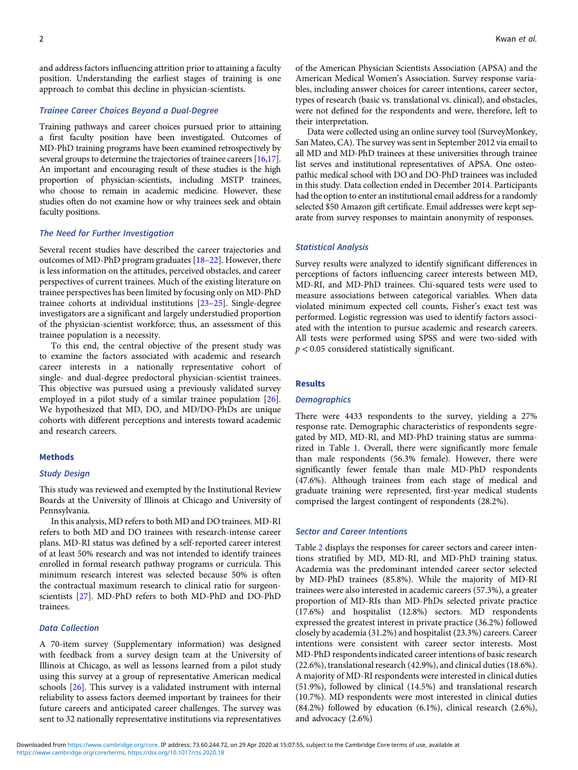and address factors influencing attrition prior to attaining a faculty position. Understanding the earliest stages of training is one approach to combat this decline in physician-scientists.

#### Trainee Career Choices Beyond a Dual-Degree

Training pathways and career choices pursued prior to attaining a first faculty position have been investigated. Outcomes of MD-PhD training programs have been examined retrospectively by several groups to determine the trajectories of trainee careers [[16,17](#page-8-0)]. An important and encouraging result of these studies is the high proportion of physician-scientists, including MSTP trainees, who choose to remain in academic medicine. However, these studies often do not examine how or why trainees seek and obtain faculty positions.

## The Need for Further Investigation

Several recent studies have described the career trajectories and outcomes of MD-PhD program graduates [[18](#page-8-0)–[22](#page-8-0)]. However, there is less information on the attitudes, perceived obstacles, and career perspectives of current trainees. Much of the existing literature on trainee perspectives has been limited by focusing only on MD-PhD trainee cohorts at individual institutions [\[23](#page-8-0)–[25](#page-9-0)]. Single-degree investigators are a significant and largely understudied proportion of the physician-scientist workforce; thus, an assessment of this trainee population is a necessity.

To this end, the central objective of the present study was to examine the factors associated with academic and research career interests in a nationally representative cohort of single- and dual-degree predoctoral physician-scientist trainees. This objective was pursued using a previously validated survey employed in a pilot study of a similar trainee population [[26](#page-9-0)]. We hypothesized that MD, DO, and MD/DO-PhDs are unique cohorts with different perceptions and interests toward academic and research careers.

#### Methods

#### Study Design

This study was reviewed and exempted by the Institutional Review Boards at the University of Illinois at Chicago and University of Pennsylvania.

In this analysis, MD refers to both MD and DO trainees. MD-RI refers to both MD and DO trainees with research-intense career plans. MD-RI status was defined by a self-reported career interest of at least 50% research and was not intended to identify trainees enrolled in formal research pathway programs or curricula. This minimum research interest was selected because 50% is often the contractual maximum research to clinical ratio for surgeonscientists [[27\]](#page-9-0). MD-PhD refers to both MD-PhD and DO-PhD trainees.

#### Data Collection

A 70-item survey (Supplementary information) was designed with feedback from a survey design team at the University of Illinois at Chicago, as well as lessons learned from a pilot study using this survey at a group of representative American medical schools [[26\]](#page-9-0). This survey is a validated instrument with internal reliability to assess factors deemed important by trainees for their future careers and anticipated career challenges. The survey was sent to 32 nationally representative institutions via representatives

of the American Physician Scientists Association (APSA) and the American Medical Women's Association. Survey response variables, including answer choices for career intentions, career sector, types of research (basic vs. translational vs. clinical), and obstacles, were not defined for the respondents and were, therefore, left to their interpretation.

Data were collected using an online survey tool (SurveyMonkey, San Mateo, CA). The survey was sent in September 2012 via email to all MD and MD-PhD trainees at these universities through trainee list serves and institutional representatives of APSA. One osteopathic medical school with DO and DO-PhD trainees was included in this study. Data collection ended in December 2014. Participants had the option to enter an institutional email address for a randomly selected \$50 Amazon gift certificate. Email addresses were kept separate from survey responses to maintain anonymity of responses.

#### Statistical Analysis

Survey results were analyzed to identify significant differences in perceptions of factors influencing career interests between MD, MD-RI, and MD-PhD trainees. Chi-squared tests were used to measure associations between categorical variables. When data violated minimum expected cell counts, Fisher's exact test was performed. Logistic regression was used to identify factors associated with the intention to pursue academic and research careers. All tests were performed using SPSS and were two-sided with  $p < 0.05$  considered statistically significant.

#### Results

#### **Demographics**

There were 4433 respondents to the survey, yielding a 27% response rate. Demographic characteristics of respondents segregated by MD, MD-RI, and MD-PhD training status are summarized in Table [1.](#page-2-0) Overall, there were significantly more female than male respondents (56.3% female). However, there were significantly fewer female than male MD-PhD respondents (47.6%). Although trainees from each stage of medical and graduate training were represented, first-year medical students comprised the largest contingent of respondents (28.2%).

#### Sector and Career Intentions

Table [2](#page-3-0) displays the responses for career sectors and career intentions stratified by MD, MD-RI, and MD-PhD training status. Academia was the predominant intended career sector selected by MD-PhD trainees (85.8%). While the majority of MD-RI trainees were also interested in academic careers (57.3%), a greater proportion of MD-RIs than MD-PhDs selected private practice (17.6%) and hospitalist (12.8%) sectors. MD respondents expressed the greatest interest in private practice (36.2%) followed closely by academia (31.2%) and hospitalist (23.3%) careers. Career intentions were consistent with career sector interests. Most MD-PhD respondents indicated career intentions of basic research (22.6%), translational research (42.9%), and clinical duties (18.6%). A majority of MD-RI respondents were interested in clinical duties (51.9%), followed by clinical (14.5%) and translational research (10.7%). MD respondents were most interested in clinical duties (84.2%) followed by education (6.1%), clinical research (2.6%), and advocacy (2.6%)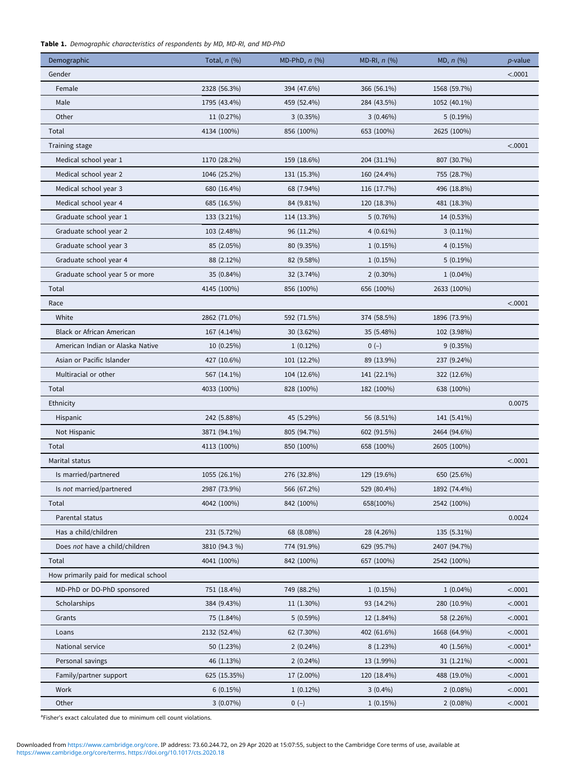## <span id="page-2-0"></span>Table 1. Demographic characteristics of respondents by MD, MD-RI, and MD-PhD

| Demographic                           | Total, $n$ $(\%)$ | MD-PhD, $n$ (%) | MD-RI, $n$ (%) | MD, n (%)    | $p$ -value           |
|---------------------------------------|-------------------|-----------------|----------------|--------------|----------------------|
| Gender                                |                   |                 |                |              | < .0001              |
| Female                                | 2328 (56.3%)      | 394 (47.6%)     | 366 (56.1%)    | 1568 (59.7%) |                      |
| Male                                  | 1795 (43.4%)      | 459 (52.4%)     | 284 (43.5%)    | 1052 (40.1%) |                      |
| Other                                 | 11 (0.27%)        | $3(0.35\%)$     | $3(0.46\%)$    | 5(0.19%)     |                      |
| Total                                 | 4134 (100%)       | 856 (100%)      | 653 (100%)     | 2625 (100%)  |                      |
| Training stage                        |                   |                 |                |              | < .0001              |
| Medical school year 1                 | 1170 (28.2%)      | 159 (18.6%)     | 204 (31.1%)    | 807 (30.7%)  |                      |
| Medical school year 2                 | 1046 (25.2%)      | 131 (15.3%)     | 160 (24.4%)    | 755 (28.7%)  |                      |
| Medical school year 3                 | 680 (16.4%)       | 68 (7.94%)      | 116 (17.7%)    | 496 (18.8%)  |                      |
| Medical school year 4                 | 685 (16.5%)       | 84 (9.81%)      | 120 (18.3%)    | 481 (18.3%)  |                      |
| Graduate school year 1                | 133 (3.21%)       | 114 (13.3%)     | 5(0.76%)       | 14 (0.53%)   |                      |
| Graduate school year 2                | 103 (2.48%)       | 96 (11.2%)      | $4(0.61\%)$    | $3(0.11\%)$  |                      |
| Graduate school year 3                | 85 (2.05%)        | 80 (9.35%)      | 1(0.15%)       | $4(0.15\%)$  |                      |
| Graduate school year 4                | 88 (2.12%)        | 82 (9.58%)      | 1(0.15%)       | 5(0.19%)     |                      |
| Graduate school year 5 or more        | 35 (0.84%)        | 32 (3.74%)      | $2(0.30\%)$    | $1(0.04\%)$  |                      |
| Total                                 | 4145 (100%)       | 856 (100%)      | 656 (100%)     | 2633 (100%)  |                      |
| Race                                  |                   |                 |                |              | < .0001              |
| White                                 | 2862 (71.0%)      | 592 (71.5%)     | 374 (58.5%)    | 1896 (73.9%) |                      |
| <b>Black or African American</b>      | 167 (4.14%)       | 30 (3.62%)      | 35 (5.48%)     | 102 (3.98%)  |                      |
| American Indian or Alaska Native      | 10 (0.25%)        | $1(0.12\%)$     | $0(-)$         | $9(0.35\%)$  |                      |
| Asian or Pacific Islander             | 427 (10.6%)       | 101 (12.2%)     | 89 (13.9%)     | 237 (9.24%)  |                      |
| Multiracial or other                  | 567 (14.1%)       | 104 (12.6%)     | 141 (22.1%)    | 322 (12.6%)  |                      |
| Total                                 | 4033 (100%)       | 828 (100%)      | 182 (100%)     | 638 (100%)   |                      |
| Ethnicity                             |                   |                 |                |              | 0.0075               |
| Hispanic                              | 242 (5.88%)       | 45 (5.29%)      | 56 (8.51%)     | 141 (5.41%)  |                      |
| Not Hispanic                          | 3871 (94.1%)      | 805 (94.7%)     | 602 (91.5%)    | 2464 (94.6%) |                      |
| Total                                 | 4113 (100%)       | 850 (100%)      | 658 (100%)     | 2605 (100%)  |                      |
| Marital status                        |                   |                 |                |              | < .0001              |
| Is married/partnered                  | 1055 (26.1%)      | 276 (32.8%)     | 129 (19.6%)    | 650 (25.6%)  |                      |
| Is not married/partnered              | 2987 (73.9%)      | 566 (67.2%)     | 529 (80.4%)    | 1892 (74.4%) |                      |
| Total                                 | 4042 (100%)       | 842 (100%)      | 658(100%)      | 2542 (100%)  |                      |
| Parental status                       |                   |                 |                |              | 0.0024               |
| Has a child/children                  | 231 (5.72%)       | 68 (8.08%)      | 28 (4.26%)     | 135 (5.31%)  |                      |
| Does not have a child/children        | 3810 (94.3 %)     | 774 (91.9%)     | 629 (95.7%)    | 2407 (94.7%) |                      |
| Total                                 | 4041 (100%)       | 842 (100%)      | 657 (100%)     | 2542 (100%)  |                      |
| How primarily paid for medical school |                   |                 |                |              |                      |
| MD-PhD or DO-PhD sponsored            | 751 (18.4%)       | 749 (88.2%)     | 1(0.15%)       | $1(0.04\%)$  | < .0001              |
| Scholarships                          | 384 (9.43%)       | 11 (1.30%)      | 93 (14.2%)     | 280 (10.9%)  | < .0001              |
| Grants                                | 75 (1.84%)        | 5 (0.59%)       | 12 (1.84%)     | 58 (2.26%)   | < .0001              |
| Loans                                 | 2132 (52.4%)      | 62 (7.30%)      | 402 (61.6%)    | 1668 (64.9%) | < .0001              |
| National service                      | 50 (1.23%)        | $2(0.24\%)$     | 8(1.23%)       | 40 (1.56%)   | < .0001 <sup>a</sup> |
| Personal savings                      | 46 (1.13%)        | $2(0.24\%)$     | 13 (1.99%)     | 31 (1.21%)   | < .0001              |
| Family/partner support                | 625 (15.35%)      | 17 (2.00%)      | 120 (18.4%)    | 488 (19.0%)  | < .0001              |
| Work                                  | 6(0.15%)          | $1(0.12\%)$     | $3(0.4\%)$     | $2(0.08\%)$  | < .0001              |
| Other                                 | $3(0.07\%)$       | $0 (-)$         | 1(0.15%)       | $2(0.08\%)$  | < .0001              |
|                                       |                   |                 |                |              |                      |

<sup>a</sup>Fisher's exact calculated due to minimum cell count violations.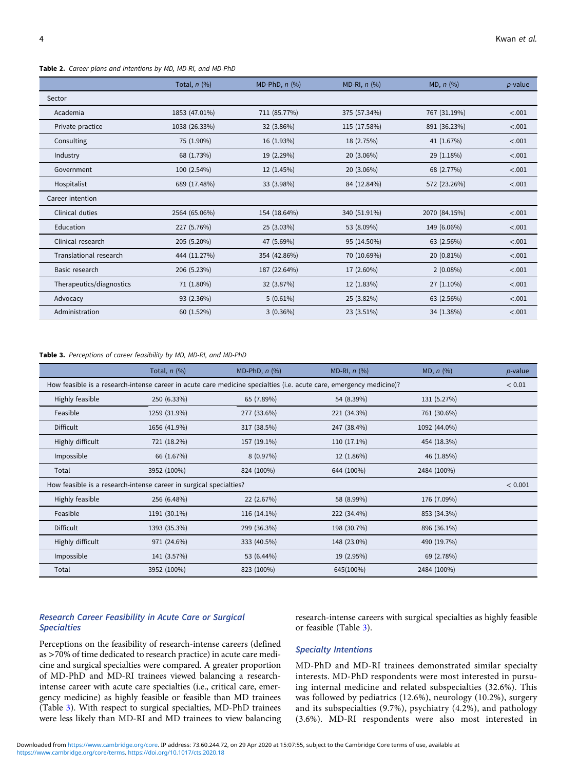#### <span id="page-3-0"></span>Table 2. Career plans and intentions by MD, MD-RI, and MD-PhD

|                          | Total, $n$ $(\%)$ | MD-PhD, $n$ (%) | MD-RI, $n$ $(\%)$ | MD, n (%)     | $p$ -value |
|--------------------------|-------------------|-----------------|-------------------|---------------|------------|
| Sector                   |                   |                 |                   |               |            |
| Academia                 | 1853 (47.01%)     | 711 (85.77%)    | 375 (57.34%)      | 767 (31.19%)  | < .001     |
| Private practice         | 1038 (26.33%)     | 32 (3.86%)      | 115 (17.58%)      | 891 (36.23%)  | < .001     |
| Consulting               | 75 (1.90%)        | 16 (1.93%)      | 18 (2.75%)        | 41 (1.67%)    | < .001     |
| Industry                 | 68 (1.73%)        | 19 (2.29%)      | 20 (3.06%)        | 29 (1.18%)    | < .001     |
| Government               | 100 (2.54%)       | 12 (1.45%)      | 20 (3.06%)        | 68 (2.77%)    | < .001     |
| Hospitalist              | 689 (17.48%)      | 33 (3.98%)      | 84 (12.84%)       | 572 (23.26%)  | < .001     |
| Career intention         |                   |                 |                   |               |            |
| Clinical duties          | 2564 (65.06%)     | 154 (18.64%)    | 340 (51.91%)      | 2070 (84.15%) | < .001     |
| Education                | 227 (5.76%)       | 25 (3.03%)      | 53 (8.09%)        | 149 (6.06%)   | < .001     |
| Clinical research        | 205 (5.20%)       | 47 (5.69%)      | 95 (14.50%)       | 63 (2.56%)    | < .001     |
| Translational research   | 444 (11.27%)      | 354 (42.86%)    | 70 (10.69%)       | 20 (0.81%)    | < .001     |
| Basic research           | 206 (5.23%)       | 187 (22.64%)    | 17 (2.60%)        | $2(0.08\%)$   | < .001     |
| Therapeutics/diagnostics | 71 (1.80%)        | 32 (3.87%)      | 12 (1.83%)        | 27 (1.10%)    | < .001     |
| Advocacy                 | 93 (2.36%)        | $5(0.61\%)$     | 25 (3.82%)        | 63 (2.56%)    | < .001     |
| Administration           | 60 (1.52%)        | $3(0.36\%)$     | 23 (3.51%)        | 34 (1.38%)    | < .001     |

#### Table 3. Perceptions of career feasibility by MD, MD-RI, and MD-PhD

|                                                                                                                     | Total, $n$ $(\%)$ | MD-PhD, $n$ $(\%)$ | MD-RI, $n$ (%) | MD, n (%)    | $p$ -value |  |  |
|---------------------------------------------------------------------------------------------------------------------|-------------------|--------------------|----------------|--------------|------------|--|--|
| How feasible is a research-intense career in acute care medicine specialties (i.e. acute care, emergency medicine)? |                   |                    |                |              |            |  |  |
| Highly feasible                                                                                                     | 250 (6.33%)       | 65 (7.89%)         | 54 (8.39%)     | 131 (5.27%)  |            |  |  |
| Feasible                                                                                                            | 1259 (31.9%)      | 277 (33.6%)        | 221 (34.3%)    | 761 (30.6%)  |            |  |  |
| <b>Difficult</b>                                                                                                    | 1656 (41.9%)      | 317 (38.5%)        | 247 (38.4%)    | 1092 (44.0%) |            |  |  |
| Highly difficult                                                                                                    | 721 (18.2%)       | 157 (19.1%)        | 110 (17.1%)    | 454 (18.3%)  |            |  |  |
| Impossible                                                                                                          | 66 (1.67%)        | $8(0.97\%)$        | 12 (1.86%)     | 46 (1.85%)   |            |  |  |
| Total                                                                                                               | 3952 (100%)       | 824 (100%)         | 644 (100%)     | 2484 (100%)  |            |  |  |
| How feasible is a research-intense career in surgical specialties?                                                  |                   |                    |                |              |            |  |  |
| Highly feasible                                                                                                     | 256 (6.48%)       | 22 (2.67%)         | 58 (8.99%)     | 176 (7.09%)  |            |  |  |
| Feasible                                                                                                            | 1191 (30.1%)      | 116 (14.1%)        | 222 (34.4%)    | 853 (34.3%)  |            |  |  |
| <b>Difficult</b>                                                                                                    | 1393 (35.3%)      | 299 (36.3%)        | 198 (30.7%)    | 896 (36.1%)  |            |  |  |
| Highly difficult                                                                                                    | 971 (24.6%)       | 333 (40.5%)        | 148 (23.0%)    | 490 (19.7%)  |            |  |  |
| Impossible                                                                                                          | 141 (3.57%)       | 53 (6.44%)         | 19 (2.95%)     | 69 (2.78%)   |            |  |  |
| Total                                                                                                               | 3952 (100%)       | 823 (100%)         | 645(100%)      | 2484 (100%)  |            |  |  |

## Research Career Feasibility in Acute Care or Surgical **Specialties**

Perceptions on the feasibility of research-intense careers (defined as >70% of time dedicated to research practice) in acute care medicine and surgical specialties were compared. A greater proportion of MD-PhD and MD-RI trainees viewed balancing a researchintense career with acute care specialties (i.e., critical care, emergency medicine) as highly feasible or feasible than MD trainees (Table 3). With respect to surgical specialties, MD-PhD trainees were less likely than MD-RI and MD trainees to view balancing research-intense careers with surgical specialties as highly feasible or feasible (Table 3).

## Specialty Intentions

MD-PhD and MD-RI trainees demonstrated similar specialty interests. MD-PhD respondents were most interested in pursuing internal medicine and related subspecialties (32.6%). This was followed by pediatrics (12.6%), neurology (10.2%), surgery and its subspecialties (9.7%), psychiatry (4.2%), and pathology (3.6%). MD-RI respondents were also most interested in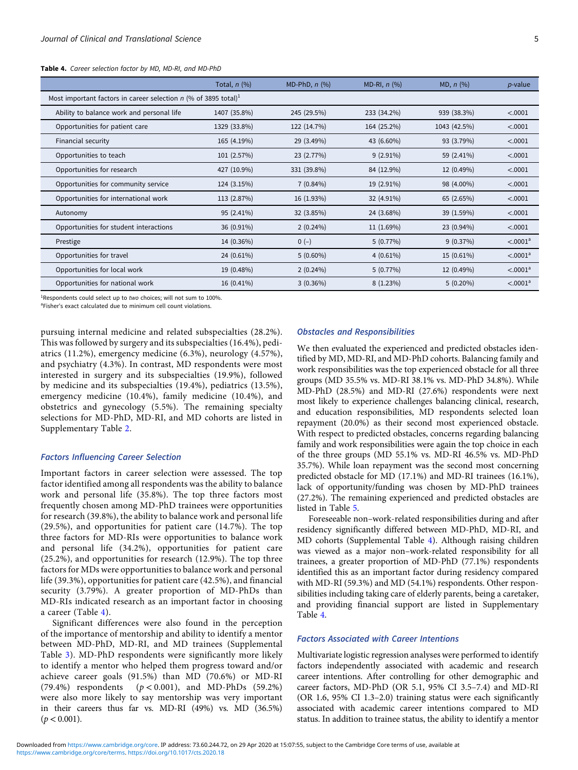|  |  | Table 4. Career selection factor by MD, MD-RI, and MD-PhD |  |  |  |  |  |
|--|--|-----------------------------------------------------------|--|--|--|--|--|
|--|--|-----------------------------------------------------------|--|--|--|--|--|

|                                                                             | Total, $n$ $(\%)$ | MD-PhD, $n$ $(\%)$ | MD-RI, $n$ $(\%)$ | MD, n (%)    | $p$ -value             |
|-----------------------------------------------------------------------------|-------------------|--------------------|-------------------|--------------|------------------------|
| Most important factors in career selection n (% of 3895 total) <sup>1</sup> |                   |                    |                   |              |                        |
| Ability to balance work and personal life                                   | 1407 (35.8%)      | 245 (29.5%)        | 233 (34.2%)       | 939 (38.3%)  | < .0001                |
| Opportunities for patient care                                              | 1329 (33.8%)      | 122 (14.7%)        | 164 (25.2%)       | 1043 (42.5%) | < .0001                |
| Financial security                                                          | 165 (4.19%)       | 29 (3.49%)         | 43 (6.60%)        | 93 (3.79%)   | < .0001                |
| Opportunities to teach                                                      | 101 (2.57%)       | 23 (2.77%)         | $9(2.91\%)$       | 59 (2.41%)   | < .0001                |
| Opportunities for research                                                  | 427 (10.9%)       | 331 (39.8%)        | 84 (12.9%)        | 12 (0.49%)   | < .0001                |
| Opportunities for community service                                         | 124 (3.15%)       | $7(0.84\%)$        | 19 (2.91%)        | 98 (4.00%)   | < .0001                |
| Opportunities for international work                                        | 113 (2.87%)       | 16 (1.93%)         | 32 (4.91%)        | 65 (2.65%)   | < .0001                |
| Autonomy                                                                    | 95 (2.41%)        | 32 (3.85%)         | 24 (3.68%)        | 39 (1.59%)   | < .0001                |
| Opportunities for student interactions                                      | 36 (0.91%)        | $2(0.24\%)$        | 11(1.69%)         | 23 (0.94%)   | < .0001                |
| Prestige                                                                    | 14 (0.36%)        | $0(-)$             | $5(0.77\%)$       | $9(0.37\%)$  | < .0001 <sup>a</sup>   |
| Opportunities for travel                                                    | 24 (0.61%)        | $5(0.60\%)$        | $4(0.61\%)$       | 15 (0.61%)   | < .0001 <sup>a</sup>   |
| Opportunities for local work                                                | 19 (0.48%)        | $2(0.24\%)$        | $5(0.77\%)$       | 12 (0.49%)   | < .0001 <sup>a</sup>   |
| Opportunities for national work                                             | 16 (0.41%)        | $3(0.36\%)$        | 8(1.23%)          | $5(0.20\%)$  | $< .0001$ <sup>a</sup> |

1 Respondents could select up to two choices; will not sum to 100%.

<sup>a</sup>Fisher's exact calculated due to minimum cell count violations.

pursuing internal medicine and related subspecialties (28.2%). This was followed by surgery and its subspecialties (16.4%), pediatrics (11.2%), emergency medicine (6.3%), neurology (4.57%), and psychiatry (4.3%). In contrast, MD respondents were most interested in surgery and its subspecialties (19.9%), followed by medicine and its subspecialties (19.4%), pediatrics (13.5%), emergency medicine (10.4%), family medicine (10.4%), and obstetrics and gynecology (5.5%). The remaining specialty selections for MD-PhD, MD-RI, and MD cohorts are listed in Supplementary Table [2](https://doi.org/10.1017/cts.2020.18).

## Factors Influencing Career Selection

Important factors in career selection were assessed. The top factor identified among all respondents was the ability to balance work and personal life (35.8%). The top three factors most frequently chosen among MD-PhD trainees were opportunities for research (39.8%), the ability to balance work and personal life (29.5%), and opportunities for patient care (14.7%). The top three factors for MD-RIs were opportunities to balance work and personal life (34.2%), opportunities for patient care (25.2%), and opportunities for research (12.9%). The top three factors for MDs were opportunities to balance work and personal life (39.3%), opportunities for patient care (42.5%), and financial security (3.79%). A greater proportion of MD-PhDs than MD-RIs indicated research as an important factor in choosing a career (Table 4).

Significant differences were also found in the perception of the importance of mentorship and ability to identify a mentor between MD-PhD, MD-RI, and MD trainees (Supplemental Table [3\)](https://doi.org/10.1017/cts.2020.18). MD-PhD respondents were significantly more likely to identify a mentor who helped them progress toward and/or achieve career goals (91.5%) than MD (70.6%) or MD-RI (79.4%) respondents  $(p < 0.001)$ , and MD-PhDs (59.2%) were also more likely to say mentorship was very important in their careers thus far vs. MD-RI (49%) vs. MD (36.5%)  $(p < 0.001)$ .

#### Obstacles and Responsibilities

We then evaluated the experienced and predicted obstacles identified by MD, MD-RI, and MD-PhD cohorts. Balancing family and work responsibilities was the top experienced obstacle for all three groups (MD 35.5% vs. MD-RI 38.1% vs. MD-PhD 34.8%). While MD-PhD (28.5%) and MD-RI (27.6%) respondents were next most likely to experience challenges balancing clinical, research, and education responsibilities, MD respondents selected loan repayment (20.0%) as their second most experienced obstacle. With respect to predicted obstacles, concerns regarding balancing family and work responsibilities were again the top choice in each of the three groups (MD 55.1% vs. MD-RI 46.5% vs. MD-PhD 35.7%). While loan repayment was the second most concerning predicted obstacle for MD (17.1%) and MD-RI trainees (16.1%), lack of opportunity/funding was chosen by MD-PhD trainees (27.2%). The remaining experienced and predicted obstacles are listed in Table [5.](#page-5-0)

Foreseeable non–work-related responsibilities during and after residency significantly differed between MD-PhD, MD-RI, and MD cohorts (Supplemental Table [4](https://doi.org/10.1017/cts.2020.18)). Although raising children was viewed as a major non–work-related responsibility for all trainees, a greater proportion of MD-PhD (77.1%) respondents identified this as an important factor during residency compared with MD-RI (59.3%) and MD (54.1%) respondents. Other responsibilities including taking care of elderly parents, being a caretaker, and providing financial support are listed in Supplementary Table [4.](https://doi.org/10.1017/cts.2020.18)

## Factors Associated with Career Intentions

Multivariate logistic regression analyses were performed to identify factors independently associated with academic and research career intentions. After controlling for other demographic and career factors, MD-PhD (OR 5.1, 95% CI 3.5–7.4) and MD-RI (OR 1.6, 95% CI 1.3–2.0) training status were each significantly associated with academic career intentions compared to MD status. In addition to trainee status, the ability to identify a mentor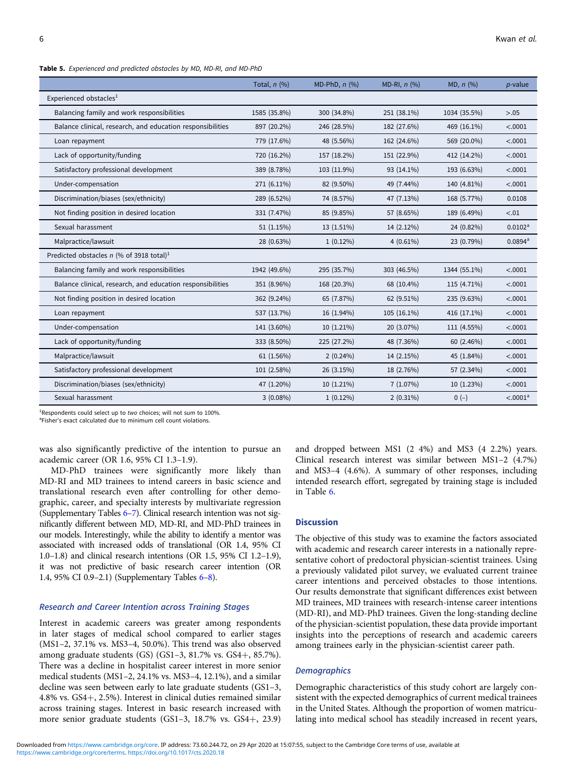<span id="page-5-0"></span>Table 5. Experienced and predicted obstacles by MD, MD-RI, and MD-PhD

|                                                            | Total, $n$ $(%)$ | MD-PhD, $n$ (%) | MD-RI, $n(%)$ | MD. n (%)    | $p$ -value           |
|------------------------------------------------------------|------------------|-----------------|---------------|--------------|----------------------|
| Experienced obstacles <sup>1</sup>                         |                  |                 |               |              |                      |
| Balancing family and work responsibilities                 | 1585 (35.8%)     | 300 (34.8%)     | 251 (38.1%)   | 1034 (35.5%) | > .05                |
| Balance clinical, research, and education responsibilities | 897 (20.2%)      | 246 (28.5%)     | 182 (27.6%)   | 469 (16.1%)  | < .0001              |
| Loan repayment                                             | 779 (17.6%)      | 48 (5.56%)      | 162 (24.6%)   | 569 (20.0%)  | < .0001              |
| Lack of opportunity/funding                                | 720 (16.2%)      | 157 (18.2%)     | 151 (22.9%)   | 412 (14.2%)  | < .0001              |
| Satisfactory professional development                      | 389 (8.78%)      | 103 (11.9%)     | 93 (14.1%)    | 193 (6.63%)  | < .0001              |
| Under-compensation                                         | 271 (6.11%)      | 82 (9.50%)      | 49 (7.44%)    | 140 (4.81%)  | < .0001              |
| Discrimination/biases (sex/ethnicity)                      | 289 (6.52%)      | 74 (8.57%)      | 47 (7.13%)    | 168 (5.77%)  | 0.0108               |
| Not finding position in desired location                   | 331 (7.47%)      | 85 (9.85%)      | 57 (8.65%)    | 189 (6.49%)  | < 0.01               |
| Sexual harassment                                          | 51 (1.15%)       | 13 (1.51%)      | 14 (2.12%)    | 24 (0.82%)   | 0.0102 <sup>a</sup>  |
| Malpractice/lawsuit                                        | 28 (0.63%)       | $1(0.12\%)$     | $4(0.61\%)$   | 23 (0.79%)   | 0.0894a              |
| Predicted obstacles n (% of 3918 total) <sup>1</sup>       |                  |                 |               |              |                      |
| Balancing family and work responsibilities                 | 1942 (49.6%)     | 295 (35.7%)     | 303 (46.5%)   | 1344 (55.1%) | < .0001              |
| Balance clinical, research, and education responsibilities | 351 (8.96%)      | 168 (20.3%)     | 68 (10.4%)    | 115 (4.71%)  | < .0001              |
| Not finding position in desired location                   | 362 (9.24%)      | 65 (7.87%)      | 62 (9.51%)    | 235 (9.63%)  | < .0001              |
| Loan repayment                                             | 537 (13.7%)      | 16 (1.94%)      | 105 (16.1%)   | 416 (17.1%)  | < .0001              |
| Under-compensation                                         | 141 (3.60%)      | 10 (1.21%)      | 20 (3.07%)    | 111 (4.55%)  | < .0001              |
| Lack of opportunity/funding                                | 333 (8.50%)      | 225 (27.2%)     | 48 (7.36%)    | 60 (2.46%)   | < .0001              |
| Malpractice/lawsuit                                        | 61 (1.56%)       | $2(0.24\%)$     | 14 (2.15%)    | 45 (1.84%)   | < .0001              |
| Satisfactory professional development                      | 101 (2.58%)      | 26 (3.15%)      | 18 (2.76%)    | 57 (2.34%)   | < .0001              |
| Discrimination/biases (sex/ethnicity)                      | 47 (1.20%)       | 10 (1.21%)      | 7(1.07%)      | 10 (1.23%)   | < .0001              |
| Sexual harassment                                          | $3(0.08\%)$      | $1(0.12\%)$     | $2(0.31\%)$   | $0(-)$       | < .0001 <sup>a</sup> |
|                                                            |                  |                 |               |              |                      |

<sup>1</sup>Respondents could select up to two choices; will not sum to 100%.

a Fisher's exact calculated due to minimum cell count violations.

was also significantly predictive of the intention to pursue an academic career (OR 1.6, 95% CI 1.3–1.9).

MD-PhD trainees were significantly more likely than MD-RI and MD trainees to intend careers in basic science and translational research even after controlling for other demographic, career, and specialty interests by multivariate regression (Supplementary Tables [6](https://doi.org/10.1017/cts.2020.18)–[7](https://doi.org/10.1017/cts.2020.18)). Clinical research intention was not significantly different between MD, MD-RI, and MD-PhD trainees in our models. Interestingly, while the ability to identify a mentor was associated with increased odds of translational (OR 1.4, 95% CI 1.0–1.8) and clinical research intentions (OR 1.5, 95% CI 1.2–1.9), it was not predictive of basic research career intention (OR 1.4, 95% CI 0.9–2.1) (Supplementary Tables [6](https://doi.org/10.1017/cts.2020.18)–[8\)](https://doi.org/10.1017/cts.2020.18).

## Research and Career Intention across Training Stages

Interest in academic careers was greater among respondents in later stages of medical school compared to earlier stages (MS1–2, 37.1% vs. MS3–4, 50.0%). This trend was also observed among graduate students (GS) (GS1-3, 81.7% vs. GS4+, 85.7%). There was a decline in hospitalist career interest in more senior medical students (MS1–2, 24.1% vs. MS3–4, 12.1%), and a similar decline was seen between early to late graduate students (GS1–3, 4.8% vs.  $GS4+$ , 2.5%). Interest in clinical duties remained similar across training stages. Interest in basic research increased with more senior graduate students  $(GS1-3, 18.7\% \text{ vs. } GS4+, 23.9)$ 

and dropped between MS1 (2 4%) and MS3 (4 2.2%) years. Clinical research interest was similar between MS1–2 (4.7%) and MS3–4 (4.6%). A summary of other responses, including intended research effort, segregated by training stage is included in Table [6.](#page-6-0)

## Discussion

The objective of this study was to examine the factors associated with academic and research career interests in a nationally representative cohort of predoctoral physician-scientist trainees. Using a previously validated pilot survey, we evaluated current trainee career intentions and perceived obstacles to those intentions. Our results demonstrate that significant differences exist between MD trainees, MD trainees with research-intense career intentions (MD-RI), and MD-PhD trainees. Given the long-standing decline of the physician-scientist population, these data provide important insights into the perceptions of research and academic careers among trainees early in the physician-scientist career path.

## **Demographics**

Demographic characteristics of this study cohort are largely consistent with the expected demographics of current medical trainees in the United States. Although the proportion of women matriculating into medical school has steadily increased in recent years,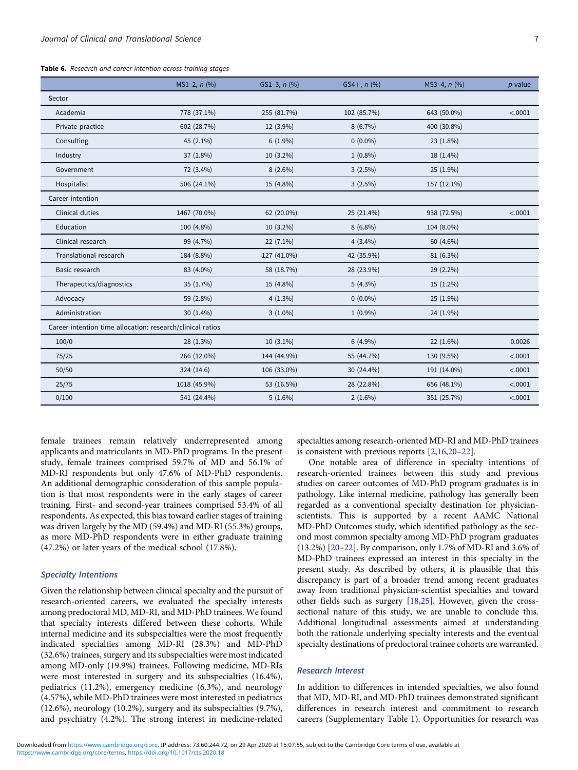<span id="page-6-0"></span>Table 6. Research and career intention across training stages

|                                                            | $MS1-2, n$ (%) | GS1-3, $n$ (%) | $GS4+, n$ (%) | $MS3-4, n (%)$ | $p$ -value |
|------------------------------------------------------------|----------------|----------------|---------------|----------------|------------|
| Sector                                                     |                |                |               |                |            |
| Academia                                                   | 778 (37.1%)    | 255 (81.7%)    | 102 (85.7%)   | 643 (50.0%)    | < .0001    |
| Private practice                                           | 602 (28.7%)    | 12 (3.9%)      | $8(6.7\%)$    | 400 (30.8%)    |            |
| Consulting                                                 | 45 (2.1%)      | $6(1.9\%)$     | $0(0.0\%)$    | 23 (1.8%)      |            |
| Industry                                                   | 37 (1.8%)      | $10(3.2\%)$    | $1(0.8\%)$    | 18 (1.4%)      |            |
| Government                                                 | 72 (3.4%)      | $8(2.6\%)$     | $3(2.5\%)$    | 25 (1.9%)      |            |
| Hospitalist                                                | 506 (24.1%)    | 15 (4.8%)      | $3(2.5\%)$    | 157 (12.1%)    |            |
| Career intention                                           |                |                |               |                |            |
| <b>Clinical duties</b>                                     | 1467 (70.0%)   | 62 (20.0%)     | 25 (21.4%)    | 938 (72.5%)    | < .0001    |
| Education                                                  | 100 (4.8%)     | 10 (3.2%)      | $8(6.8\%)$    | 104 (8.0%)     |            |
| Clinical research                                          | 99 (4.7%)      | 22 (7.1%)      | $4(3.4\%)$    | 60 (4.6%)      |            |
| Translational research                                     | 184 (8.8%)     | 127 (41.0%)    | 42 (35.9%)    | 81 (6.3%)      |            |
| Basic research                                             | 83 (4.0%)      | 58 (18.7%)     | 28 (23.9%)    | 29 (2.2%)      |            |
| Therapeutics/diagnostics                                   | 35 (1.7%)      | 15 (4.8%)      | $5(4.3\%)$    | 15 (1.2%)      |            |
| Advocacy                                                   | 59 (2.8%)      | $4(1.3\%)$     | $0(0.0\%)$    | 25 (1.9%)      |            |
| Administration                                             | 30 (1.4%)      | $3(1.0\%)$     | $1(0.9\%)$    | 24 (1.9%)      |            |
| Career intention time allocation: research/clinical ratios |                |                |               |                |            |
| 100/0                                                      | 28 (1.3%)      | $10(3.1\%)$    | $6(4.9\%)$    | 22 (1.6%)      | 0.0026     |
| 75/25                                                      | 266 (12.0%)    | 144 (44.9%)    | 55 (44.7%)    | 130 (9.5%)     | < .0001    |
| 50/50                                                      | 324 (14.6)     | 106 (33.0%)    | 30 (24.4%)    | 191 (14.0%)    | < .0001    |
| 25/75                                                      | 1018 (45.9%)   | 53 (16.5%)     | 28 (22.8%)    | 656 (48.1%)    | < .0001    |
| 0/100                                                      | 541 (24.4%)    | $5(1.6\%)$     | $2(1.6\%)$    | 351 (25.7%)    | < .0001    |

female trainees remain relatively underrepresented among applicants and matriculants in MD-PhD programs. In the present study, female trainees comprised 59.7% of MD and 56.1% of MD-RI respondents but only 47.6% of MD-PhD respondents. An additional demographic consideration of this sample population is that most respondents were in the early stages of career training. First- and second-year trainees comprised 53.4% of all respondents. As expected, this bias toward earlier stages of training was driven largely by the MD (59.4%) and MD-RI (55.3%) groups, as more MD-PhD respondents were in either graduate training (47.2%) or later years of the medical school (17.8%).

## Specialty Intentions

Given the relationship between clinical specialty and the pursuit of research-oriented careers, we evaluated the specialty interests among predoctoral MD, MD-RI, and MD-PhD trainees. We found that specialty interests differed between these cohorts. While internal medicine and its subspecialties were the most frequently indicated specialties among MD-RI (28.3%) and MD-PhD (32.6%) trainees, surgery and its subspecialties were most indicated among MD-only (19.9%) trainees. Following medicine, MD-RIs were most interested in surgery and its subspecialties (16.4%), pediatrics (11.2%), emergency medicine (6.3%), and neurology (4.57%), while MD-PhD trainees were most interested in pediatrics (12.6%), neurology (10.2%), surgery and its subspecialties (9.7%), and psychiatry (4.2%). The strong interest in medicine-related

specialties among research-oriented MD-RI and MD-PhD trainees is consistent with previous reports [[2,16,20](#page-8-0)–[22\]](#page-8-0).

One notable area of difference in specialty intentions of research-oriented trainees between this study and previous studies on career outcomes of MD-PhD program graduates is in pathology. Like internal medicine, pathology has generally been regarded as a conventional specialty destination for physicianscientists. This is supported by a recent AAMC National MD-PhD Outcomes study, which identified pathology as the second most common specialty among MD-PhD program graduates (13.2%) [[20](#page-8-0)–[22\]](#page-8-0). By comparison, only 1.7% of MD-RI and 3.6% of MD-PhD trainees expressed an interest in this specialty in the present study. As described by others, it is plausible that this discrepancy is part of a broader trend among recent graduates away from traditional physician-scientist specialties and toward other fields such as surgery [\[18,](#page-8-0)[25\]](#page-9-0). However, given the crosssectional nature of this study, we are unable to conclude this. Additional longitudinal assessments aimed at understanding both the rationale underlying specialty interests and the eventual specialty destinations of predoctoral trainee cohorts are warranted.

## Research Interest

In addition to differences in intended specialties, we also found that MD, MD-RI, and MD-PhD trainees demonstrated significant differences in research interest and commitment to research careers (Supplementary Table [1\)](https://doi.org/10.1017/cts.2020.18). Opportunities for research was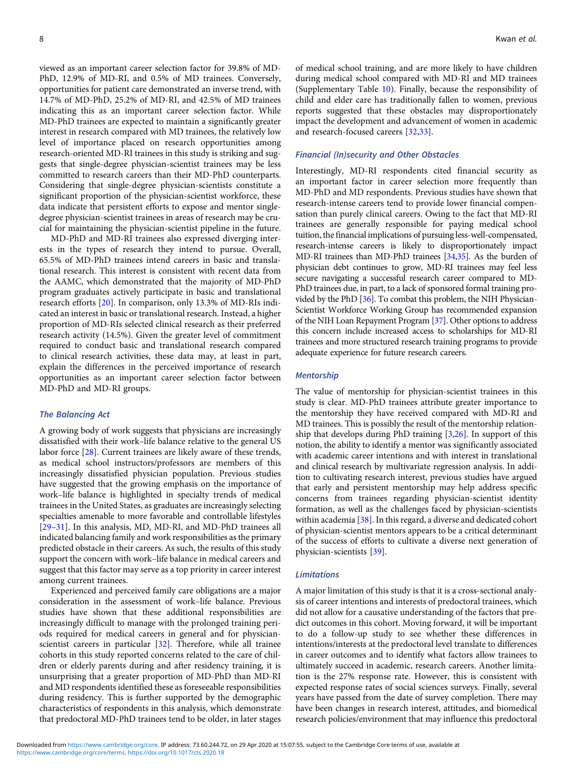viewed as an important career selection factor for 39.8% of MD-PhD, 12.9% of MD-RI, and 0.5% of MD trainees. Conversely, opportunities for patient care demonstrated an inverse trend, with 14.7% of MD-PhD, 25.2% of MD-RI, and 42.5% of MD trainees indicating this as an important career selection factor. While MD-PhD trainees are expected to maintain a significantly greater interest in research compared with MD trainees, the relatively low level of importance placed on research opportunities among research-oriented MD-RI trainees in this study is striking and suggests that single-degree physician-scientist trainees may be less committed to research careers than their MD-PhD counterparts. Considering that single-degree physician-scientists constitute a significant proportion of the physician-scientist workforce, these data indicate that persistent efforts to expose and mentor singledegree physician-scientist trainees in areas of research may be crucial for maintaining the physician-scientist pipeline in the future.

MD-PhD and MD-RI trainees also expressed diverging interests in the types of research they intend to pursue. Overall, 65.5% of MD-PhD trainees intend careers in basic and translational research. This interest is consistent with recent data from the AAMC, which demonstrated that the majority of MD-PhD program graduates actively participate in basic and translational research efforts [[20\]](#page-8-0). In comparison, only 13.3% of MD-RIs indicated an interest in basic or translational research. Instead, a higher proportion of MD-RIs selected clinical research as their preferred research activity (14.5%). Given the greater level of commitment required to conduct basic and translational research compared to clinical research activities, these data may, at least in part, explain the differences in the perceived importance of research opportunities as an important career selection factor between MD-PhD and MD-RI groups.

#### The Balancing Act

A growing body of work suggests that physicians are increasingly dissatisfied with their work–life balance relative to the general US labor force [\[28\]](#page-9-0). Current trainees are likely aware of these trends, as medical school instructors/professors are members of this increasingly dissatisfied physician population. Previous studies have suggested that the growing emphasis on the importance of work–life balance is highlighted in specialty trends of medical trainees in the United States, as graduates are increasingly selecting specialties amenable to more favorable and controllable lifestyles [[29](#page-9-0)–[31\]](#page-9-0). In this analysis, MD, MD-RI, and MD-PhD trainees all indicated balancing family and work responsibilities as the primary predicted obstacle in their careers. As such, the results of this study support the concern with work–life balance in medical careers and suggest that this factor may serve as a top priority in career interest among current trainees.

Experienced and perceived family care obligations are a major consideration in the assessment of work–life balance. Previous studies have shown that these additional responsibilities are increasingly difficult to manage with the prolonged training periods required for medical careers in general and for physicianscientist careers in particular [[32](#page-9-0)]. Therefore, while all trainee cohorts in this study reported concerns related to the care of children or elderly parents during and after residency training, it is unsurprising that a greater proportion of MD-PhD than MD-RI and MD respondents identified these as foreseeable responsibilities during residency. This is further supported by the demographic characteristics of respondents in this analysis, which demonstrate that predoctoral MD-PhD trainees tend to be older, in later stages of medical school training, and are more likely to have children during medical school compared with MD-RI and MD trainees (Supplementary Table [10\)](https://doi.org/10.1017/cts.2020.18). Finally, because the responsibility of child and elder care has traditionally fallen to women, previous reports suggested that these obstacles may disproportionately impact the development and advancement of women in academic and research-focused careers [[32,33](#page-9-0)].

## Financial (In)security and Other Obstacles

Interestingly, MD-RI respondents cited financial security as an important factor in career selection more frequently than MD-PhD and MD respondents. Previous studies have shown that research-intense careers tend to provide lower financial compensation than purely clinical careers. Owing to the fact that MD-RI trainees are generally responsible for paying medical school tuition, the financial implications of pursuing less-well-compensated, research-intense careers is likely to disproportionately impact MD-RI trainees than MD-PhD trainees [\[34,35\]](#page-9-0). As the burden of physician debt continues to grow, MD-RI trainees may feel less secure navigating a successful research career compared to MD-PhD trainees due, in part, to a lack of sponsored formal training provided by the PhD [\[36](#page-9-0)]. To combat this problem, the NIH Physician-Scientist Workforce Working Group has recommended expansion of the NIH Loan Repayment Program [[37\]](#page-9-0). Other options to address this concern include increased access to scholarships for MD-RI trainees and more structured research training programs to provide adequate experience for future research careers.

#### Mentorship

The value of mentorship for physician-scientist trainees in this study is clear. MD-PhD trainees attribute greater importance to the mentorship they have received compared with MD-RI and MD trainees. This is possibly the result of the mentorship relationship that develops during PhD training [[3](#page-8-0)[,26](#page-9-0)]. In support of this notion, the ability to identify a mentor was significantly associated with academic career intentions and with interest in translational and clinical research by multivariate regression analysis. In addition to cultivating research interest, previous studies have argued that early and persistent mentorship may help address specific concerns from trainees regarding physician-scientist identity formation, as well as the challenges faced by physician-scientists within academia [\[38](#page-9-0)]. In this regard, a diverse and dedicated cohort of physician-scientist mentors appears to be a critical determinant of the success of efforts to cultivate a diverse next generation of physician-scientists [\[39](#page-9-0)].

#### Limitations

A major limitation of this study is that it is a cross-sectional analysis of career intentions and interests of predoctoral trainees, which did not allow for a causative understanding of the factors that predict outcomes in this cohort. Moving forward, it will be important to do a follow-up study to see whether these differences in intentions/interests at the predoctoral level translate to differences in career outcomes and to identify what factors allow trainees to ultimately succeed in academic, research careers. Another limitation is the 27% response rate. However, this is consistent with expected response rates of social sciences surveys. Finally, several years have passed from the date of survey completion. There may have been changes in research interest, attitudes, and biomedical research policies/environment that may influence this predoctoral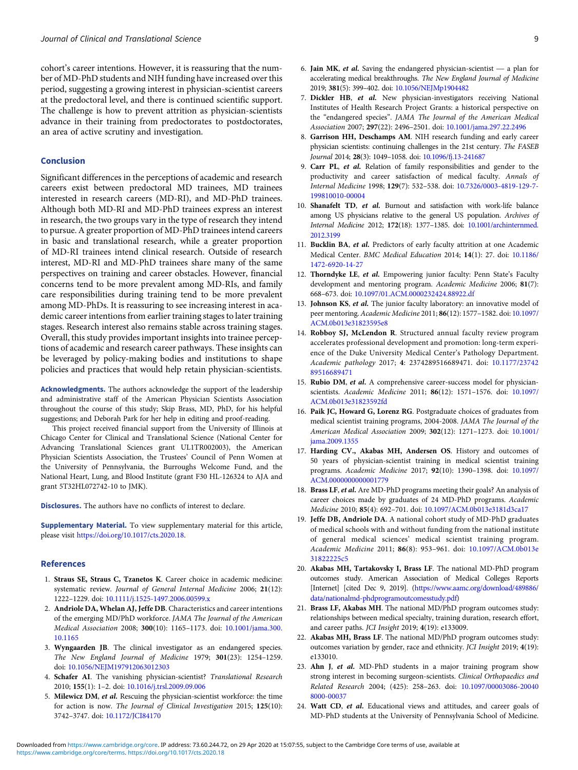<span id="page-8-0"></span>cohort's career intentions. However, it is reassuring that the number of MD-PhD students and NIH funding have increased over this period, suggesting a growing interest in physician-scientist careers at the predoctoral level, and there is continued scientific support. The challenge is how to prevent attrition as physician-scientists advance in their training from predoctorates to postdoctorates, an area of active scrutiny and investigation.

#### Conclusion

Significant differences in the perceptions of academic and research careers exist between predoctoral MD trainees, MD trainees interested in research careers (MD-RI), and MD-PhD trainees. Although both MD-RI and MD-PhD trainees express an interest in research, the two groups vary in the type of research they intend to pursue. A greater proportion of MD-PhD trainees intend careers in basic and translational research, while a greater proportion of MD-RI trainees intend clinical research. Outside of research interest, MD-RI and MD-PhD trainees share many of the same perspectives on training and career obstacles. However, financial concerns tend to be more prevalent among MD-RIs, and family care responsibilities during training tend to be more prevalent among MD-PhDs. It is reassuring to see increasing interest in academic career intentions from earlier training stages to later training stages. Research interest also remains stable across training stages. Overall, this study provides important insights into trainee perceptions of academic and research career pathways. These insights can be leveraged by policy-making bodies and institutions to shape policies and practices that would help retain physician-scientists.

Acknowledgments. The authors acknowledge the support of the leadership and administrative staff of the American Physician Scientists Association throughout the course of this study; Skip Brass, MD, PhD, for his helpful suggestions; and Deborah Park for her help in editing and proof-reading.

This project received financial support from the University of Illinois at Chicago Center for Clinical and Translational Science (National Center for Advancing Translational Sciences grant UL1TR002003), the American Physician Scientists Association, the Trustees' Council of Penn Women at the University of Pennsylvania, the Burroughs Welcome Fund, and the National Heart, Lung, and Blood Institute (grant F30 HL-126324 to AJA and grant 5T32HL072742-10 to JMK).

Disclosures. The authors have no conflicts of interest to declare.

Supplementary Material. To view supplementary material for this article, please visit [https://doi.org/10.1017/cts.2020.18.](https://doi.org/10.1017/cts.2020.18)

#### References

- 1. Straus SE, Straus C, Tzanetos K. Career choice in academic medicine: systematic review. Journal of General Internal Medicine 2006; 21(12): 1222–1229. doi: [10.1111/j.1525-1497.2006.00599.x](https://doi.org/10.1111/j.1525-1497.2006.00599.x)
- 2. Andriole DA, Whelan AJ, Jeffe DB. Characteristics and career intentions of the emerging MD/PhD workforce. JAMA The Journal of the American Medical Association 2008; 300(10): 1165–1173. doi: [10.1001/jama.300.](https://doi.org/10.1001/jama.300.10.1165) [10.1165](https://doi.org/10.1001/jama.300.10.1165)
- 3. Wyngaarden JB. The clinical investigator as an endangered species. The New England Journal of Medicine 1979; 301(23): 1254–1259. doi: [10.1056/NEJM197912063012303](https://doi.org/10.1056/NEJM197912063012303)
- 4. Schafer AI. The vanishing physician-scientist? Translational Research 2010; 155(1): 1–2. doi: [10.1016/j.trsl.2009.09.006](https://doi.org/10.1016/j.trsl.2009.09.006)
- 5. Milewicz DM, et al. Rescuing the physician-scientist workforce: the time for action is now. The Journal of Clinical Investigation 2015; 125(10): 3742–3747. doi: [10.1172/JCI84170](https://doi.org/10.1172/JCI84170)
- 9.<br>6. **Jain MK,** *et al.* Saving the endangered physician-scientist a plan for accelerating medical breakthroughs. The New England Journal of Medicine 2019; 381(5): 399–402. doi: [10.1056/NEJMp1904482](https://doi.org/10.1056/NEJMp1904482)
- 7. Dickler HB, et al. New physician-investigators receiving National Institutes of Health Research Project Grants: a historical perspective on the "endangered species". JAMA The Journal of the American Medical Association 2007; 297(22): 2496–2501. doi: [10.1001/jama.297.22.2496](https://doi.org/10.1001/jama.297.22.2496)
- 8. Garrison HH, Deschamps AM. NIH research funding and early career physician scientists: continuing challenges in the 21st century. The FASEB Journal 2014; 28(3): 1049–1058. doi: [10.1096/fj.13-241687](https://doi.org/10.1096/fj.13-241687)
- 9. Carr PL, et al. Relation of family responsibilities and gender to the productivity and career satisfaction of medical faculty. Annals of Internal Medicine 1998; 129(7): 532–538. doi: [10.7326/0003-4819-129-7-](https://doi.org/10.7326/0003-4819-129-7-199810010-00004) [199810010-00004](https://doi.org/10.7326/0003-4819-129-7-199810010-00004)
- 10. Shanafelt TD, et al. Burnout and satisfaction with work-life balance among US physicians relative to the general US population. Archives of Internal Medicine 2012; 172(18): 1377–1385. doi: [10.1001/archinternmed.](https://doi.org/10.1001/archinternmed.2012.3199) [2012.3199](https://doi.org/10.1001/archinternmed.2012.3199)
- 11. Bucklin BA, et al. Predictors of early faculty attrition at one Academic Medical Center. BMC Medical Education 2014; 14(1): 27. doi: [10.1186/](https://doi.org/10.1186/1472-6920-14-27) [1472-6920-14-27](https://doi.org/10.1186/1472-6920-14-27)
- 12. Thorndyke LE, et al. Empowering junior faculty: Penn State's Faculty development and mentoring program. Academic Medicine 2006; 81(7): 668–673. doi: [10.1097/01.ACM.0000232424.88922.df](https://doi.org/10.1097/01.ACM.0000232424.88922.df)
- 13. Johnson KS, et al. The junior faculty laboratory: an innovative model of peer mentoring. Academic Medicine 2011; 86(12): 1577–1582. doi: [10.1097/](https://doi.org/10.1097/ACM.0b013e31823595e8) [ACM.0b013e31823595e8](https://doi.org/10.1097/ACM.0b013e31823595e8)
- 14. Robboy SJ, McLendon R. Structured annual faculty review program accelerates professional development and promotion: long-term experience of the Duke University Medical Center's Pathology Department. Academic pathology 2017; 4: 2374289516689471. doi: [10.1177/23742](https://doi.org/10.1177/2374289516689471) [89516689471](https://doi.org/10.1177/2374289516689471)
- 15. Rubio DM, et al. A comprehensive career-success model for physicianscientists. Academic Medicine 2011; 86(12): 1571–1576. doi: [10.1097/](https://doi.org/10.1097/ACM.0b013e31823592fd) [ACM.0b013e31823592fd](https://doi.org/10.1097/ACM.0b013e31823592fd)
- 16. Paik JC, Howard G, Lorenz RG. Postgraduate choices of graduates from medical scientist training programs, 2004-2008. JAMA The Journal of the American Medical Association 2009; 302(12): 1271–1273. doi: [10.1001/](https://doi.org/10.1001/jama.2009.1355) [jama.2009.1355](https://doi.org/10.1001/jama.2009.1355)
- 17. Harding CV., Akabas MH, Andersen OS. History and outcomes of 50 years of physician-scientist training in medical scientist training programs. Academic Medicine 2017; 92(10): 1390–1398. doi: [10.1097/](https://doi.org/10.1097/ACM.0000000000001779) [ACM.0000000000001779](https://doi.org/10.1097/ACM.0000000000001779)
- 18. Brass LF, et al. Are MD-PhD programs meeting their goals? An analysis of career choices made by graduates of 24 MD-PhD programs. Academic Medicine 2010; 85(4): 692–701. doi: [10.1097/ACM.0b013e3181d3ca17](https://doi.org/10.1097/ACM.0b013e3181d3ca17)
- 19. Jeffe DB, Andriole DA. A national cohort study of MD-PhD graduates of medical schools with and without funding from the national institute of general medical sciences' medical scientist training program. Academic Medicine 2011; 86(8): 953–961. doi: [10.1097/ACM.0b013e](https://doi.org/10.1097/ACM.0b013e31822225c5) [31822225c5](https://doi.org/10.1097/ACM.0b013e31822225c5)
- 20. Akabas MH, Tartakovsky I, Brass LF. The national MD-PhD program outcomes study. American Association of Medical Colleges Reports [Internet] [cited Dec 9, 2019]. [\(https://www.aamc.org/download/489886/](https://www.aamc.org/download/489886/data/nationalmd-phdprogramoutcomesstudy.pdf) [data/nationalmd-phdprogramoutcomesstudy.pdf\)](https://www.aamc.org/download/489886/data/nationalmd-phdprogramoutcomesstudy.pdf)
- 21. Brass LF, Akabas MH. The national MD/PhD program outcomes study: relationships between medical specialty, training duration, research effort, and career paths. JCI Insight 2019; 4(19): e133009.
- 22. Akabas MH, Brass LF. The national MD/PhD program outcomes study: outcomes variation by gender, race and ethnicity. JCI Insight 2019; 4(19): e133010.
- 23. Ahn J, et al. MD-PhD students in a major training program show strong interest in becoming surgeon-scientists. Clinical Orthopaedics and Related Research 2004; (425): 258–263. doi: [10.1097/00003086-20040](https://doi.org/10.1097/00003086-200408000-00037) [8000-00037](https://doi.org/10.1097/00003086-200408000-00037)
- 24. Watt CD, et al. Educational views and attitudes, and career goals of MD-PhD students at the University of Pennsylvania School of Medicine.